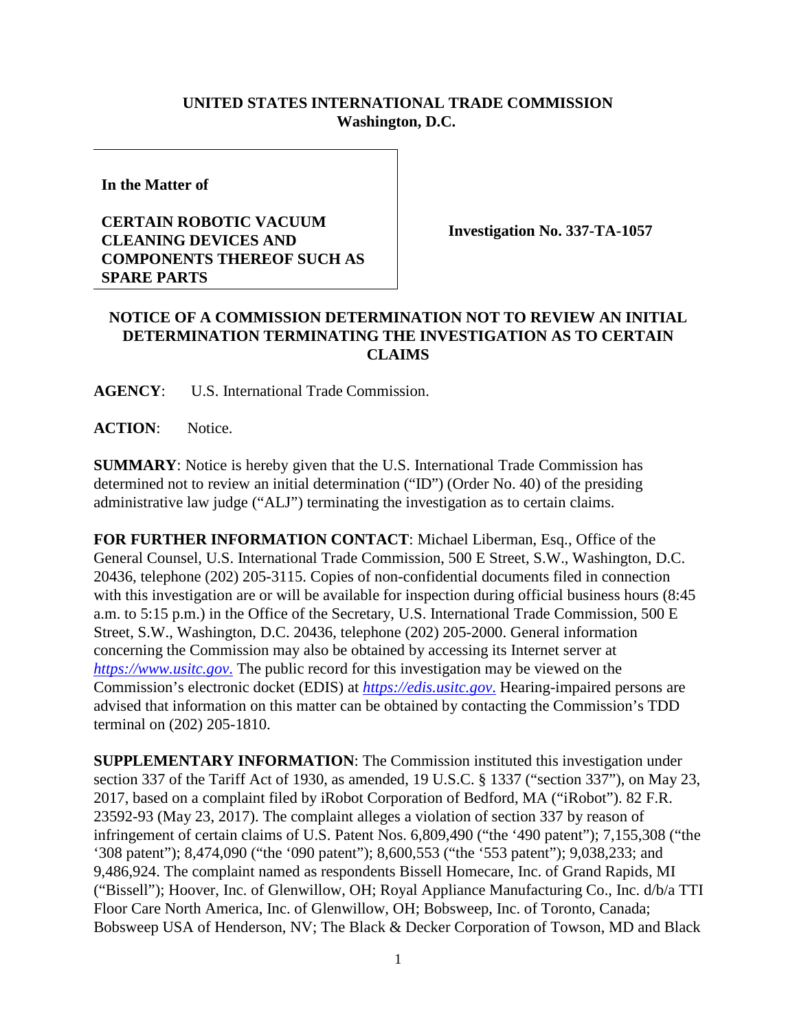## **UNITED STATES INTERNATIONAL TRADE COMMISSION Washington, D.C.**

**In the Matter of**

## **CERTAIN ROBOTIC VACUUM CLEANING DEVICES AND COMPONENTS THEREOF SUCH AS SPARE PARTS**

**Investigation No. 337-TA-1057**

## **NOTICE OF A COMMISSION DETERMINATION NOT TO REVIEW AN INITIAL DETERMINATION TERMINATING THE INVESTIGATION AS TO CERTAIN CLAIMS**

**AGENCY**: U.S. International Trade Commission.

**ACTION**: Notice.

**SUMMARY**: Notice is hereby given that the U.S. International Trade Commission has determined not to review an initial determination ("ID") (Order No. 40) of the presiding administrative law judge ("ALJ") terminating the investigation as to certain claims.

**FOR FURTHER INFORMATION CONTACT**: Michael Liberman, Esq., Office of the General Counsel, U.S. International Trade Commission, 500 E Street, S.W., Washington, D.C. 20436, telephone (202) 205-3115. Copies of non-confidential documents filed in connection with this investigation are or will be available for inspection during official business hours (8:45 a.m. to 5:15 p.m.) in the Office of the Secretary, U.S. International Trade Commission, 500 E Street, S.W., Washington, D.C. 20436, telephone (202) 205-2000. General information concerning the Commission may also be obtained by accessing its Internet server at *[https://www.usitc.gov](https://www.usitc.gov./)*. The public record for this investigation may be viewed on the Commission's electronic docket (EDIS) at *[https://edis.usitc.gov](https://edis.usitc.gov./)*. Hearing-impaired persons are advised that information on this matter can be obtained by contacting the Commission's TDD terminal on (202) 205-1810.

**SUPPLEMENTARY INFORMATION**: The Commission instituted this investigation under section 337 of the Tariff Act of 1930, as amended, 19 U.S.C. § 1337 ("section 337"), on May 23, 2017, based on a complaint filed by iRobot Corporation of Bedford, MA ("iRobot"). 82 F.R. 23592-93 (May 23, 2017). The complaint alleges a violation of section 337 by reason of infringement of certain claims of U.S. Patent Nos. 6,809,490 ("the '490 patent"); 7,155,308 ("the '308 patent"); 8,474,090 ("the '090 patent"); 8,600,553 ("the '553 patent"); 9,038,233; and 9,486,924. The complaint named as respondents Bissell Homecare, Inc. of Grand Rapids, MI ("Bissell"); Hoover, Inc. of Glenwillow, OH; Royal Appliance Manufacturing Co., Inc. d/b/a TTI Floor Care North America, Inc. of Glenwillow, OH; Bobsweep, Inc. of Toronto, Canada; Bobsweep USA of Henderson, NV; The Black & Decker Corporation of Towson, MD and Black